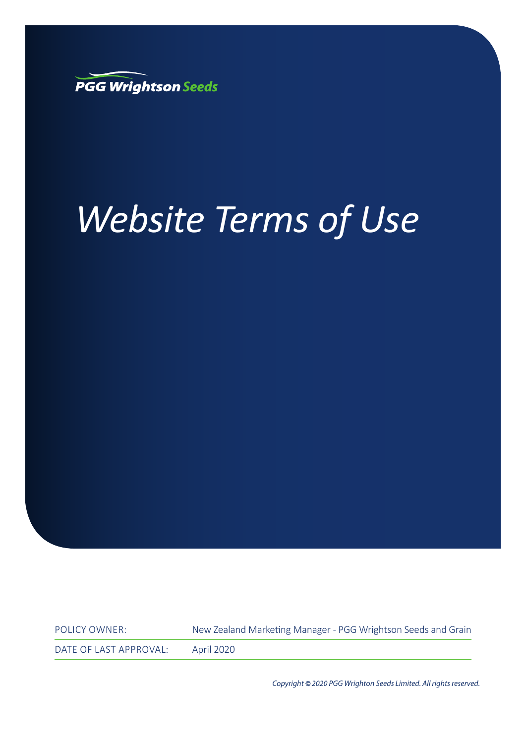

# *Website Terms of Use*

POLICY OWNER: New Zealand Marketing Manager - PGG Wrightson Seeds and Grain DATE OF LAST APPROVAL: April 2020

Copyright*©*2020 PGG Wrighton Seeds Limited. All rights reserved.